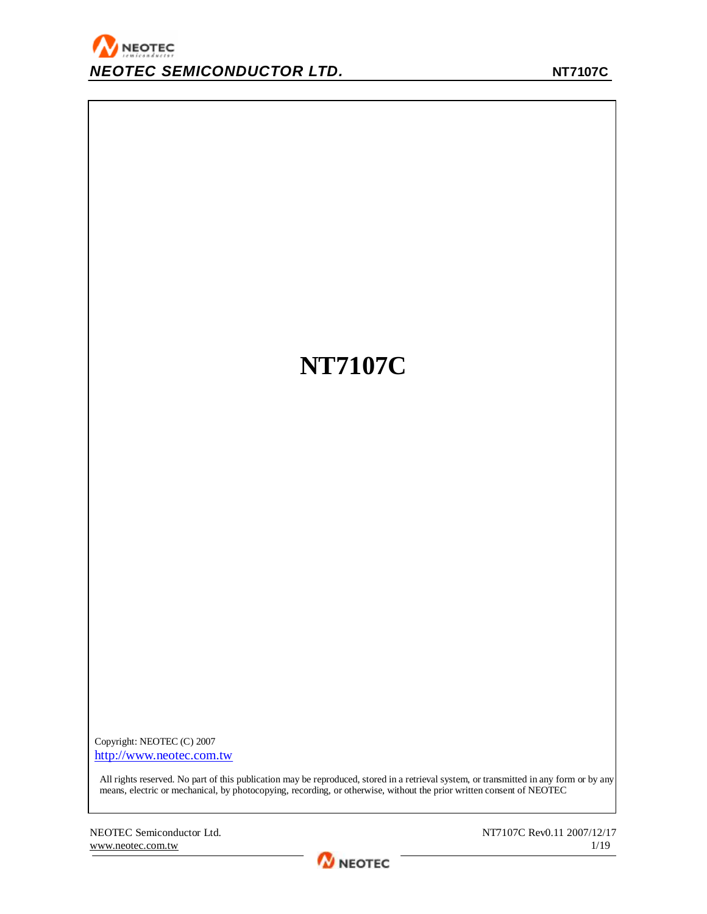# **NT7107C**

Copyright: NEOTEC (C) 2007 <http://www.neotec.com.tw>

All rights reserved. No part of this publication may be reproduced, stored in a retrieval system, or transmitted in any form or by any means, electric or mechanical, by photocopying, recording, or otherwise, without the prior written consent of NEOTEC

NEOTEC Semiconductor Ltd. NT7107C Rev0.11 2007/12/17 [www.neotec.com.tw](http://www.neotec.com.tw) 1/19

**M** NEOTEC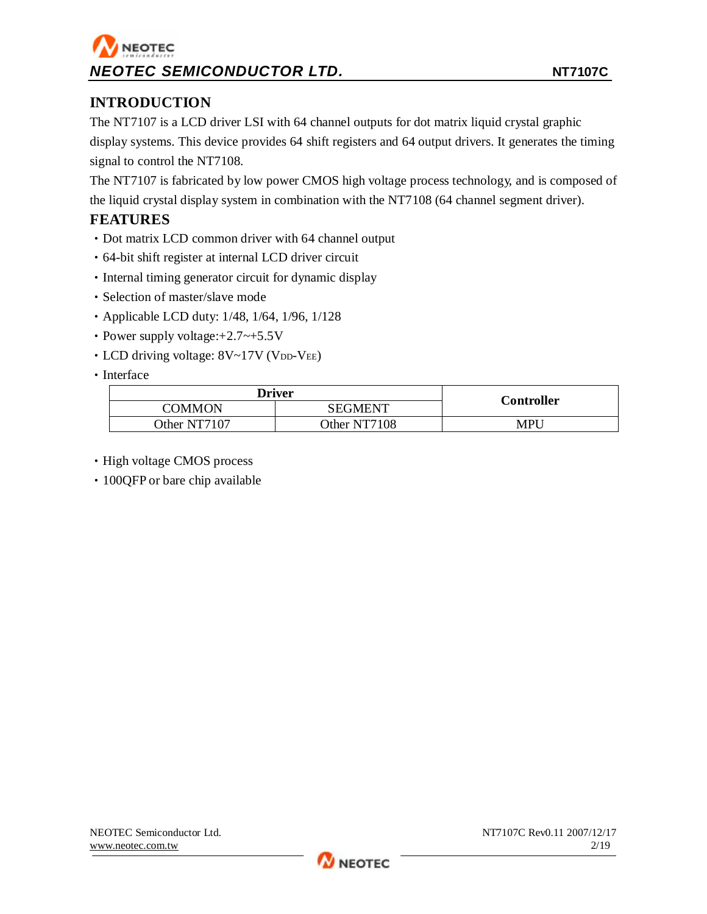## **INTRODUCTION**

The NT7107 is a LCD driver LSI with 64 channel outputs for dot matrix liquid crystal graphic display systems. This device provides 64 shift registers and 64 output drivers. It generates the timing signal to control the NT7108.

The NT7107 is fabricated by low power CMOS high voltage process technology, and is composed of the liquid crystal display system in combination with the NT7108 (64 channel segment driver).

### **FEATURES**

- •Dot matrix LCD common driver with 64 channel output
- •64-bit shift register at internal LCD driver circuit
- Internal timing generator circuit for dynamic display
- •Selection of master/slave mode
- Applicable LCD duty: 1/48, 1/64, 1/96, 1/128
- •Power supply voltage:+2.7~+5.5V
- LCD driving voltage: 8V~17V (VDD-VEE)
- Interface

| <b>Driver</b> |              |                   |
|---------------|--------------|-------------------|
| COMMON        | SEGMENT      | <b>Controller</b> |
| Other NT7107  | Other NT7108 | MPU               |

- High voltage CMOS process
- 100QFP or bare chip available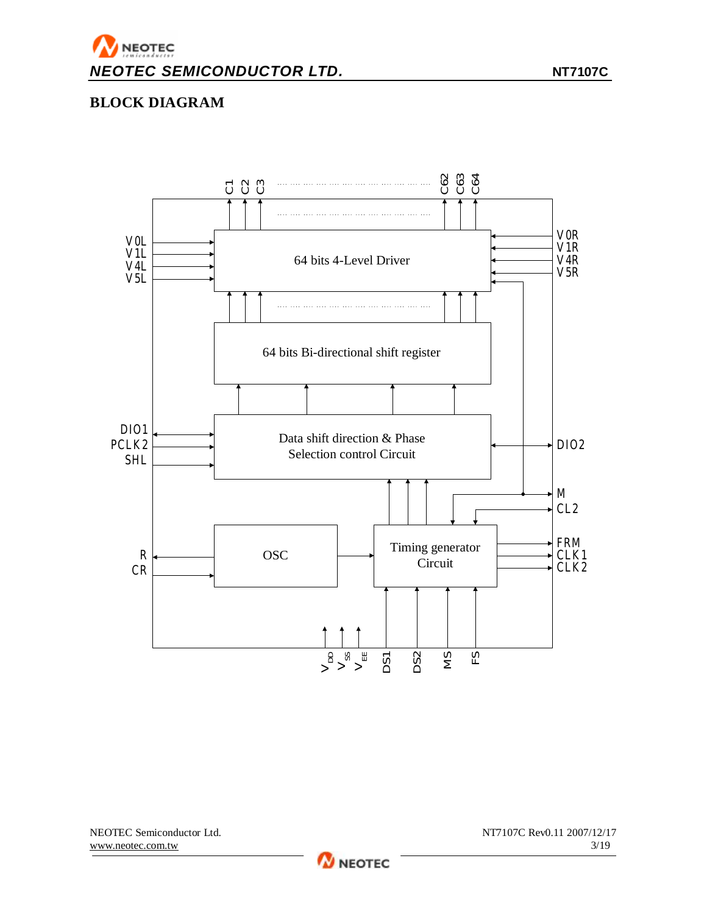

## **BLOCK DIAGRAM**



 $\boldsymbol{\gamma}$ NEOTEC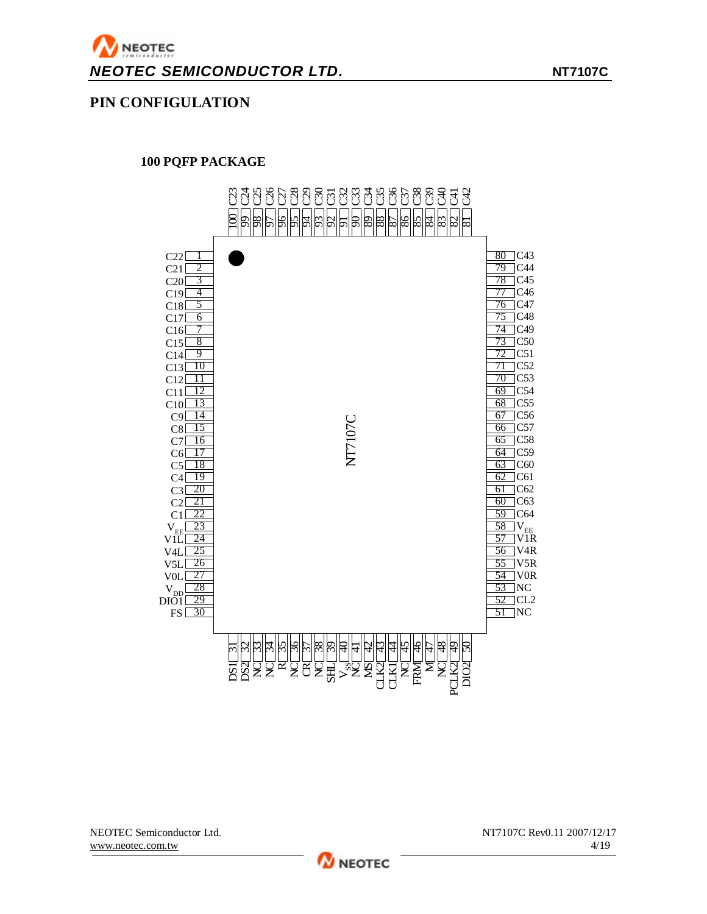### **PIN CONFIGULATION**

### **PQFP PACKAGE**



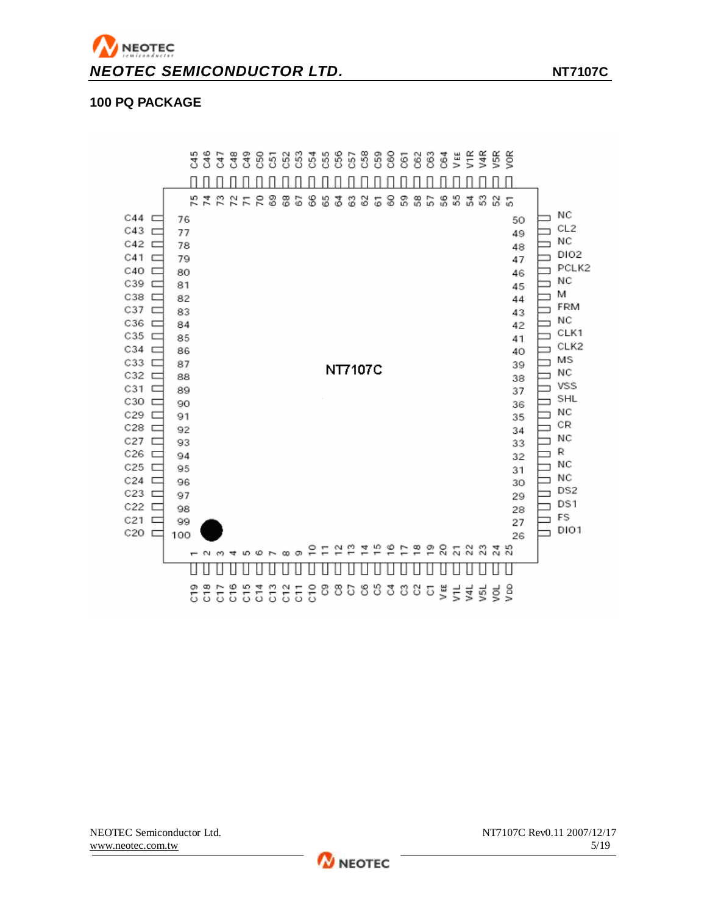

### **100 PQ PACKAGE**



**W** NEOTEC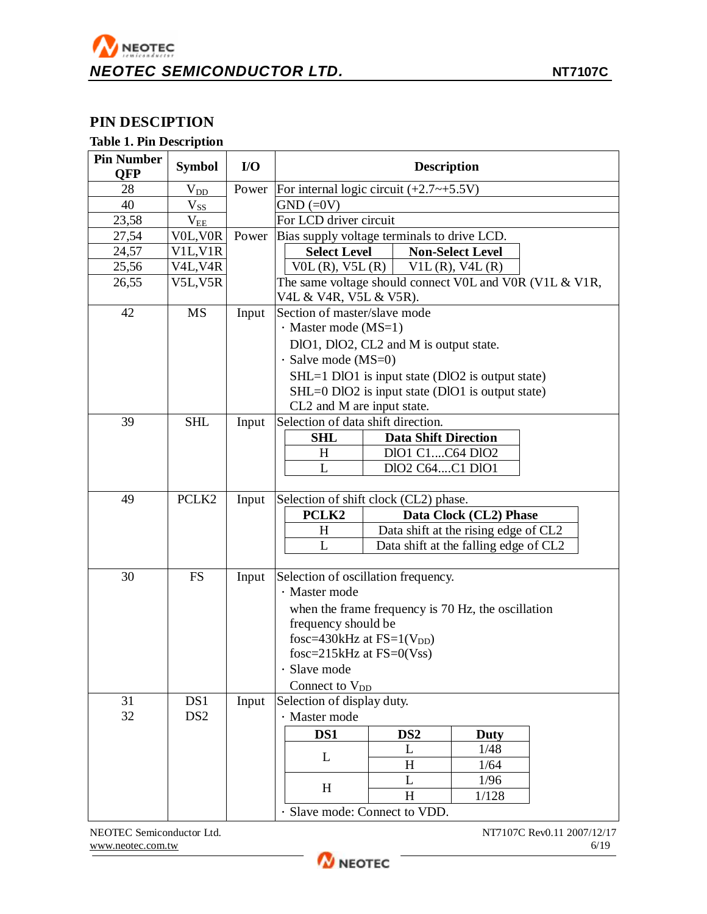# NEOTEC *NEOTEC SEMICONDUCTOR LTD.* **NT7107C**

### **PIN DESCIPTION**

### **Table 1. Pin Description**

| <b>Pin Number</b><br><b>QFP</b> | <b>Symbol</b>                      | I/O   | <b>Description</b>                                                                |  |  |  |
|---------------------------------|------------------------------------|-------|-----------------------------------------------------------------------------------|--|--|--|
| 28                              | $V_{D\underline{D}}$               | Power | For internal logic circuit $(+2.7 \rightarrow +5.5 V)$                            |  |  |  |
| 40                              | $V_{SS}$                           |       | $GND (=0V)$                                                                       |  |  |  |
| 23,58                           | $V_{EE}$                           |       | For LCD driver circuit                                                            |  |  |  |
| 27,54                           | VOL, VOR                           | Power | Bias supply voltage terminals to drive LCD.                                       |  |  |  |
| 24,57                           | V1L, V1R                           |       | <b>Select Level</b><br><b>Non-Select Level</b>                                    |  |  |  |
| 25,56                           | V <sub>4</sub> L, V <sub>4</sub> R |       | $V0L(R)$ , $V5L(R)$<br>$V1L(R)$ , V4L $(R)$                                       |  |  |  |
| 26,55                           | V5L,V5R                            |       | The same voltage should connect VOL and VOR (V1L & V1R,<br>V4L & V4R, V5L & V5R). |  |  |  |
| 42                              | <b>MS</b>                          | Input | Section of master/slave mode                                                      |  |  |  |
|                                 |                                    |       | · Master mode (MS=1)                                                              |  |  |  |
|                                 |                                    |       | DlO1, DlO2, CL2 and M is output state.                                            |  |  |  |
|                                 |                                    |       | $\cdot$ Salve mode (MS=0)                                                         |  |  |  |
|                                 |                                    |       | SHL=1 DlO1 is input state (DlO2 is output state)                                  |  |  |  |
|                                 |                                    |       | SHL=0 DlO2 is input state (DlO1 is output state)                                  |  |  |  |
|                                 |                                    |       | CL2 and M are input state.                                                        |  |  |  |
| 39                              | <b>SHL</b>                         | Input | Selection of data shift direction.                                                |  |  |  |
|                                 |                                    |       | <b>Data Shift Direction</b><br><b>SHL</b>                                         |  |  |  |
|                                 |                                    |       | DIO1 C1C64 DIO2<br>H                                                              |  |  |  |
|                                 |                                    |       | L<br>DIO2 C64C1 DIO1                                                              |  |  |  |
|                                 |                                    |       |                                                                                   |  |  |  |
| 49                              | PCLK <sub>2</sub>                  | Input | Selection of shift clock (CL2) phase.                                             |  |  |  |
|                                 |                                    |       | PCLK2<br>Data Clock (CL2) Phase                                                   |  |  |  |
|                                 |                                    |       | Data shift at the rising edge of CL2<br>H                                         |  |  |  |
|                                 |                                    |       | L<br>Data shift at the falling edge of CL2                                        |  |  |  |
| 30                              | <b>FS</b>                          | Input | Selection of oscillation frequency.                                               |  |  |  |
|                                 |                                    |       | · Master mode                                                                     |  |  |  |
|                                 |                                    |       | when the frame frequency is 70 Hz, the oscillation                                |  |  |  |
|                                 |                                    |       | frequency should be                                                               |  |  |  |
|                                 |                                    |       | fosc=430kHz at $FS=1(V_{DD})$                                                     |  |  |  |
|                                 |                                    |       | fosc= $215kHz$ at $FS=0(Vss)$                                                     |  |  |  |
|                                 |                                    |       | Slave mode                                                                        |  |  |  |
|                                 |                                    |       | Connect to V <sub>DD</sub>                                                        |  |  |  |
| 31                              | DS1                                | Input | Selection of display duty.                                                        |  |  |  |
| 32                              | DS <sub>2</sub>                    |       | · Master mode                                                                     |  |  |  |
|                                 |                                    |       | DS1<br>DS <sub>2</sub><br>Duty                                                    |  |  |  |
|                                 |                                    |       | 1/48<br>L<br>L                                                                    |  |  |  |
|                                 |                                    |       | H<br>1/64                                                                         |  |  |  |
|                                 |                                    |       | 1/96<br>L<br>H                                                                    |  |  |  |
|                                 |                                    |       | 1/128<br>H                                                                        |  |  |  |
|                                 |                                    |       | · Slave mode: Connect to VDD.                                                     |  |  |  |

NEOTEC Semiconductor Ltd. <br>WWW.neotec.com.tw 6/19

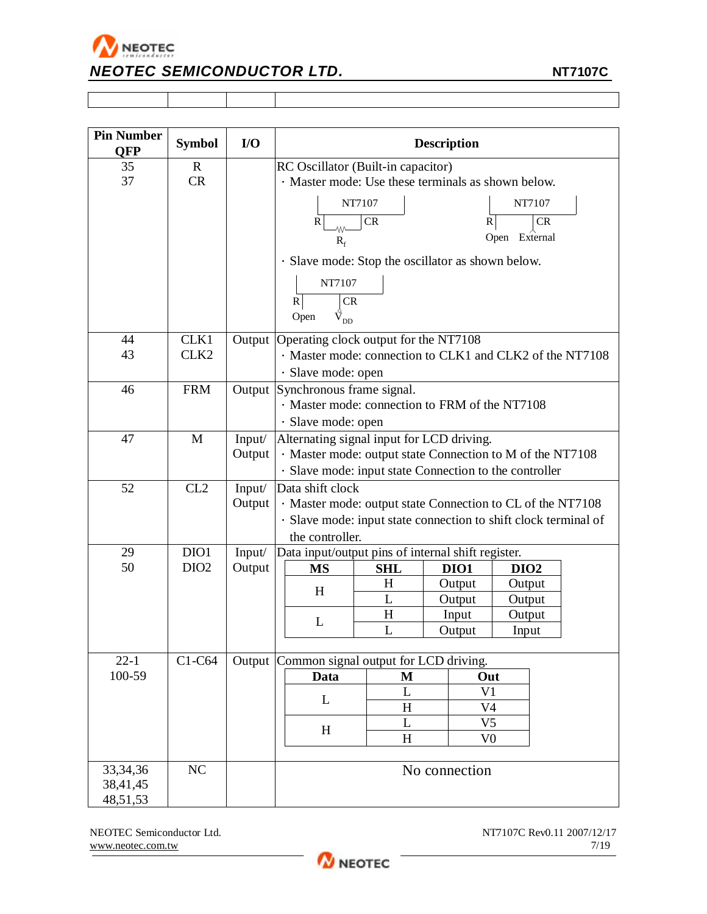

| <b>Pin Number</b><br><b>QFP</b> | <b>Symbol</b>    | $U$    | <b>Description</b>                                                                                                            |            |  |                |                  |            |  |
|---------------------------------|------------------|--------|-------------------------------------------------------------------------------------------------------------------------------|------------|--|----------------|------------------|------------|--|
| 35                              | $\mathbf R$      |        | RC Oscillator (Built-in capacitor)                                                                                            |            |  |                |                  |            |  |
| 37                              | CR               |        | · Master mode: Use these terminals as shown below.                                                                            |            |  |                |                  |            |  |
|                                 |                  |        |                                                                                                                               | NT7107     |  |                |                  | NT7107     |  |
|                                 |                  |        |                                                                                                                               |            |  |                |                  |            |  |
|                                 |                  |        | $\mathbb{R}$<br>w                                                                                                             | CR         |  | R              |                  | ${\sf CR}$ |  |
|                                 |                  |        | $R_f$                                                                                                                         |            |  |                | Open External    |            |  |
|                                 |                  |        | · Slave mode: Stop the oscillator as shown below.                                                                             |            |  |                |                  |            |  |
|                                 |                  |        | NT7107                                                                                                                        |            |  |                |                  |            |  |
|                                 |                  |        | CR<br>$\mathbb{R}$                                                                                                            |            |  |                |                  |            |  |
|                                 |                  |        | $\mathring{\text{V}}_{\text{DD}}$<br>Open                                                                                     |            |  |                |                  |            |  |
| 44                              | CLK1             | Output | Operating clock output for the NT7108                                                                                         |            |  |                |                  |            |  |
| 43                              | CLK <sub>2</sub> |        | · Master mode: connection to CLK1 and CLK2 of the NT7108                                                                      |            |  |                |                  |            |  |
|                                 |                  |        | · Slave mode: open                                                                                                            |            |  |                |                  |            |  |
| 46                              | <b>FRM</b>       |        | Output Synchronous frame signal.                                                                                              |            |  |                |                  |            |  |
|                                 |                  |        | · Master mode: connection to FRM of the NT7108                                                                                |            |  |                |                  |            |  |
|                                 |                  |        | · Slave mode: open                                                                                                            |            |  |                |                  |            |  |
| 47                              | M                | Input/ | Alternating signal input for LCD driving.                                                                                     |            |  |                |                  |            |  |
|                                 |                  | Output | · Master mode: output state Connection to M of the NT7108                                                                     |            |  |                |                  |            |  |
|                                 |                  |        | · Slave mode: input state Connection to the controller                                                                        |            |  |                |                  |            |  |
| 52                              | CL2              | Input/ | Data shift clock                                                                                                              |            |  |                |                  |            |  |
|                                 |                  | Output | · Master mode: output state Connection to CL of the NT7108<br>· Slave mode: input state connection to shift clock terminal of |            |  |                |                  |            |  |
|                                 |                  |        | the controller.                                                                                                               |            |  |                |                  |            |  |
| 29                              | DIO1             | Input/ | Data input/output pins of internal shift register.                                                                            |            |  |                |                  |            |  |
| 50                              | DIO <sub>2</sub> | Output | <b>MS</b>                                                                                                                     | <b>SHL</b> |  | DIO1           | DIO <sub>2</sub> |            |  |
|                                 |                  |        | H                                                                                                                             | H          |  | Output         | Output           |            |  |
|                                 |                  |        |                                                                                                                               | L          |  | Output         | Output           |            |  |
|                                 |                  |        | L                                                                                                                             | H          |  | Input          | Output           |            |  |
|                                 |                  |        |                                                                                                                               | L          |  | Output         | Input            |            |  |
| $22 - 1$                        | C1-C64           |        | Output Common signal output for LCD driving.                                                                                  |            |  |                |                  |            |  |
| 100-59                          |                  |        | Data                                                                                                                          | M          |  | Out            |                  |            |  |
|                                 |                  |        |                                                                                                                               | L          |  | V <sub>1</sub> |                  |            |  |
|                                 |                  |        | L                                                                                                                             | H          |  | V <sub>4</sub> |                  |            |  |
|                                 |                  |        | H                                                                                                                             | L          |  | V <sub>5</sub> |                  |            |  |
|                                 |                  |        |                                                                                                                               | H          |  | V <sub>0</sub> |                  |            |  |
| 33, 34, 36                      | NC               |        |                                                                                                                               |            |  | No connection  |                  |            |  |
| 38,41,45                        |                  |        |                                                                                                                               |            |  |                |                  |            |  |
| 48,51,53                        |                  |        |                                                                                                                               |            |  |                |                  |            |  |

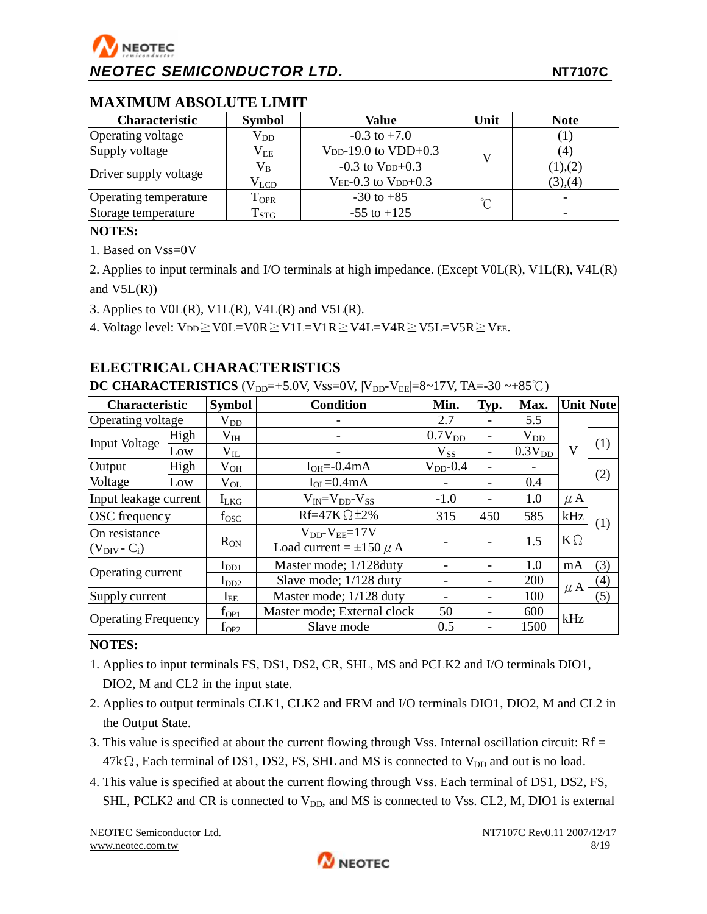### **MAXIMUM ABSOLUTE LIMIT**

| <b>Characteristic</b> | <b>Symbol</b> | Value                      | Unit   | <b>Note</b>   |
|-----------------------|---------------|----------------------------|--------|---------------|
| Operating voltage     | $\rm V_{DD}$  | $-0.3$ to $+7.0$           |        |               |
| Supply voltage        | $\rm V_{EE}$  | $V_{DD-}19.0$ to $VDD+0.3$ |        | 4             |
|                       | $\rm V_B$     | $-0.3$ to $V_{DD}+0.3$     |        | ), (2)        |
| Driver supply voltage | $\rm V_{LCD}$ | $VEE-0.3$ to $VDD+0.3$     |        | $(3)$ , $(4)$ |
| Operating temperature | $T_{OPR}$     | $-30$ to $+85$             | $\sim$ |               |
| Storage temperature   | $T_{STG}$     | $-55$ to $+125$            |        |               |

### **NOTES:**

1. Based on Vss=0V

2. Applies to input terminals and I/O terminals at high impedance. (Except V0L(R), V1L(R), V4L(R) and  $V5L(R)$ )

3. Applies to V0L(R), V1L(R), V4L(R) and V5L(R).

4. Voltage level:  $V_{DD} \geq V0L=V0R \geq V1L=VIR \geq V4L=VAR \geq V5L=V5R \geq V_{EE}$ .

### **ELECTRICAL CHARACTERISTICS**

**DC CHARACTERISTICS**  $(V_{DD} = +5.0V, V_{SS} = 0V, |V_{DD} - V_{EE}| = 8 \sim 17V, TA = -30 \sim +85°C)$ 

| <b>Characteristic</b>      |      | <b>Symbol</b> | <b>Condition</b>               | Min.               | Typ.                     | Max.               |           | <b>Unit Note</b> |
|----------------------------|------|---------------|--------------------------------|--------------------|--------------------------|--------------------|-----------|------------------|
| <b>Operating voltage</b>   |      | $\rm V_{DD}$  |                                | 2.7                |                          | 5.5                |           |                  |
| <b>Input Voltage</b>       | High | $\rm V_{IH}$  |                                | 0.7V <sub>DD</sub> |                          | $\rm V_{DD}$       |           |                  |
|                            | Low  | $\rm V_{II}$  |                                | $V_{SS}$           | $\overline{\phantom{a}}$ | 0.3V <sub>DD</sub> | V         | (1)              |
| Output                     | High | $\rm V_{OH}$  | $I_{OH}=-0.4mA$                | $V_{DD}$ -0.4      | $\overline{\phantom{a}}$ |                    |           |                  |
| Voltage                    | Low  | $\rm V_{OL}$  | $I_{OL} = 0.4mA$               |                    | $\overline{\phantom{a}}$ | 0.4                |           | (2)              |
| Input leakage current      |      | $I_{LKG}$     | $V_{IN} = V_{DD} - V_{SS}$     | $-1.0$             | $\overline{\phantom{a}}$ | 1.0                | $\mu$ A   |                  |
| <b>OSC</b> frequency       |      | fosc          | $Rf=47K\Omega \pm 2\%$         | 315                | 450                      | 585                | kHz       | (1)              |
| On resistance              |      |               | $V_{DD}$ - $V_{EE}$ =17V       |                    |                          | 1.5                | $K\Omega$ |                  |
| $(V_{\text{DIV}} - C_i)$   |      | $R_{ON}$      | Load current = $\pm 150 \mu$ A |                    |                          |                    |           |                  |
| Operating current          |      | $I_{DD1}$     | Master mode; 1/128duty         |                    | $\overline{\phantom{a}}$ | 1.0                | mA        | (3)              |
|                            |      | $I_{DD2}$     | Slave mode; 1/128 duty         |                    | $\overline{\phantom{a}}$ | 200                |           | $\left(4\right)$ |
| Supply current             |      | $I_{EE}$      | Master mode; 1/128 duty        |                    |                          | 100                | $\mu$ A   | (5)              |
|                            |      | $f_{OP1}$     | Master mode; External clock    | 50                 |                          | 600                | kHz       |                  |
| <b>Operating Frequency</b> |      | $f_{OP2}$     | Slave mode                     | 0.5                |                          | 1500               |           |                  |

### **NOTES:**

- 1. Applies to input terminals FS, DS1, DS2, CR, SHL, MS and PCLK2 and I/O terminals DIO1, DIO2, M and CL2 in the input state.
- 2. Applies to output terminals CLK1, CLK2 and FRM and I/O terminals DIO1, DIO2, M and CL2 in the Output State.
- 3. This value is specified at about the current flowing through Vss. Internal oscillation circuit:  $Rf =$  $47k\Omega$ , Each terminal of DS1, DS2, FS, SHL and MS is connected to  $V_{DD}$  and out is no load.
- 4. This value is specified at about the current flowing through Vss. Each terminal of DS1, DS2, FS, SHL, PCLK2 and CR is connected to  $V_{DD}$ , and MS is connected to Vss. CL2, M, DIO1 is external

NEOTEC Semiconductor Ltd.  $NT7107C$  Rev0.11 2007/12/17 [www.neotec.com.tw](http://www.neotec.com.tw) 8/19

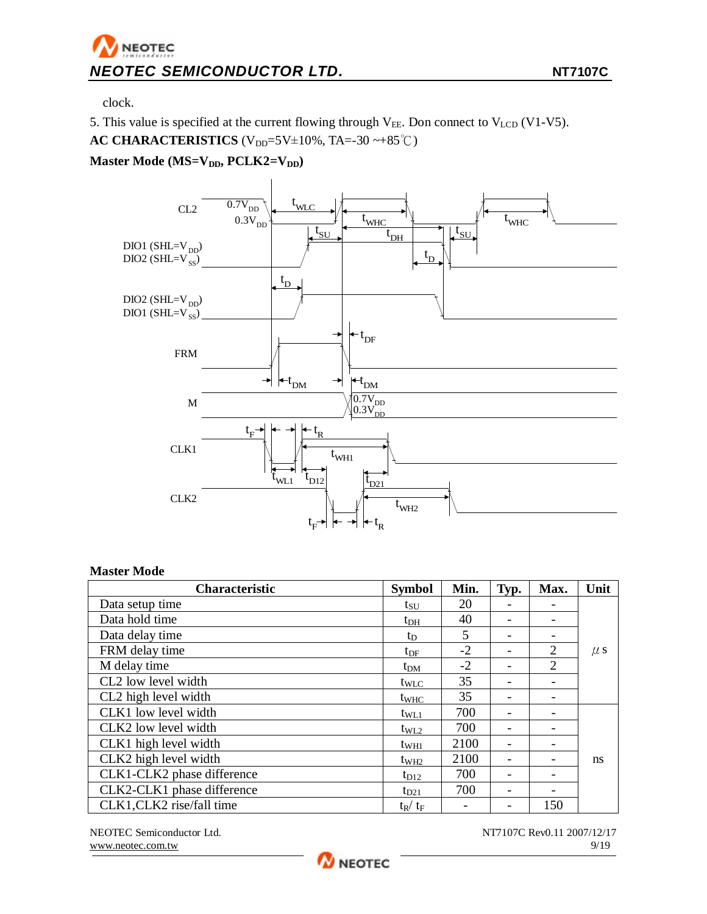clock.

5. This value is specified at the current flowing through  $V_{EE}$ . Don connect to  $V_{LCD}$  (V1-V5). **AC CHARACTERISTICS** ( $V_{DD}$ =5V±10%, TA=-30 ~+85℃)

**Master Mode (MS=VDD, PCLK2=VDD)**



### **Master Mode**

| <b>Characteristic</b>      | <b>Symbol</b>    | Min. | Typ.                     | Max.                     | Unit    |
|----------------------------|------------------|------|--------------------------|--------------------------|---------|
| Data setup time            | $\rm t_{SU}$     | 20   |                          |                          |         |
| Data hold time             | $t_{DH}$         | 40   | $\overline{\phantom{a}}$ | $\overline{\phantom{0}}$ |         |
| Data delay time            | t <sub>D</sub>   | 5    | -                        |                          |         |
| FRM delay time             | $t_{\rm DF}$     | $-2$ | $\overline{\phantom{a}}$ | 2                        | $\mu$ s |
| M delay time               | $t_{DM}$         | $-2$ |                          | $\overline{2}$           |         |
| CL2 low level width        | tw <sub>LC</sub> | 35   |                          | $\qquad \qquad$          |         |
| CL2 high level width       | t <sub>WHC</sub> | 35   |                          |                          |         |
| CLK1 low level width       | $t_{\text{WL1}}$ | 700  |                          |                          |         |
| CLK2 low level width       | $t_{WL2}$        | 700  |                          |                          |         |
| CLK1 high level width      | $t_{WH1}$        | 2100 |                          |                          |         |
| CLK2 high level width      | $t_{\rm WH2}$    | 2100 |                          |                          | ns      |
| CLK1-CLK2 phase difference | $t_{D12}$        | 700  | $\overline{\phantom{0}}$ |                          |         |
| CLK2-CLK1 phase difference | $t_{D21}$        | 700  | -                        |                          |         |
| CLK1, CLK2 rise/fall time  | $t_R / t_F$      |      |                          | 150                      |         |

NEOTEC Semiconductor Ltd.  $NT7107C$  Rev0.11 2007/12/17 [www.neotec.com.tw](http://www.neotec.com.tw) 9/19

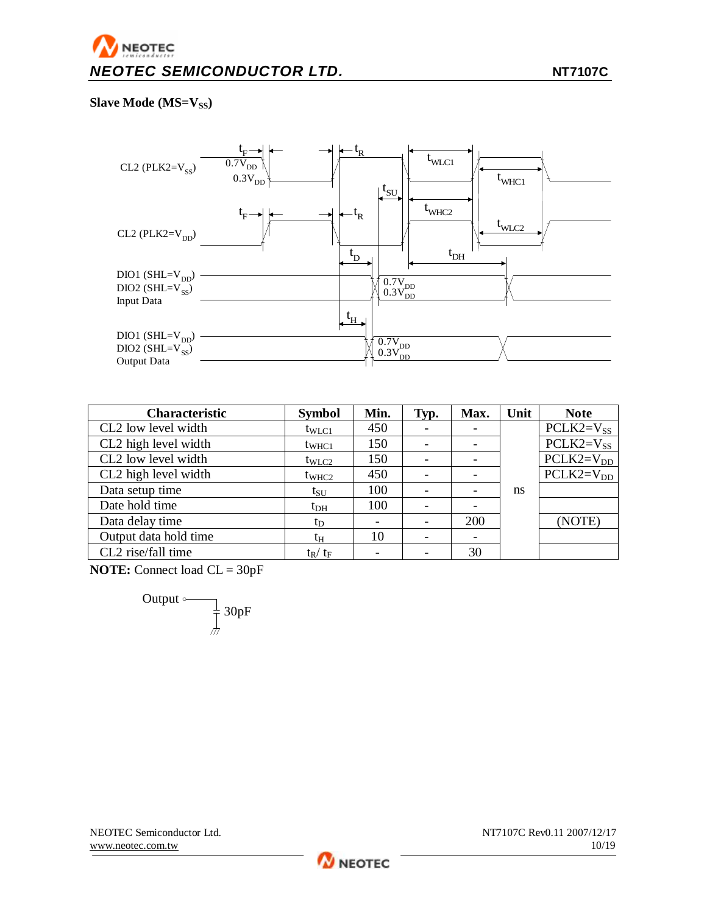### **Slave Mode (MS=VSS)**



| Characteristic        | <b>Symbol</b>     | Min.                     | Typ.                     | Max.                     | Unit | <b>Note</b>    |
|-----------------------|-------------------|--------------------------|--------------------------|--------------------------|------|----------------|
| CL2 low level width   | $t_{WLC1}$        | 450                      |                          |                          |      | $PCLK2=V_{SS}$ |
| CL2 high level width  | $t_{\text{WHC1}}$ | 150                      |                          |                          |      | $PCLK2=V_{SS}$ |
| CL2 low level width   | $t_{\text{WLC2}}$ | 150                      |                          |                          |      | $PCLK2=V_{DD}$ |
| CL2 high level width  | $t_{\text{WHC2}}$ | 450                      | $\overline{\phantom{a}}$ | $\overline{\phantom{0}}$ |      | $PCLK2=V_{DD}$ |
| Data setup time       | t <sub>SU</sub>   | 100                      |                          | $\overline{\phantom{a}}$ | ns   |                |
| Date hold time        | $t_{\rm DH}$      | 100                      |                          |                          |      |                |
| Data delay time       | $t_D$             |                          |                          | 200                      |      | (NOTE)         |
| Output data hold time | $t_H$             | 10                       |                          |                          |      |                |
| CL2 rise/fall time    | $t_R / t_F$       | $\overline{\phantom{0}}$ |                          | 30                       |      |                |

**NOTE:** Connect load CL = 30pF

Output 
$$
\circ
$$
 30pF

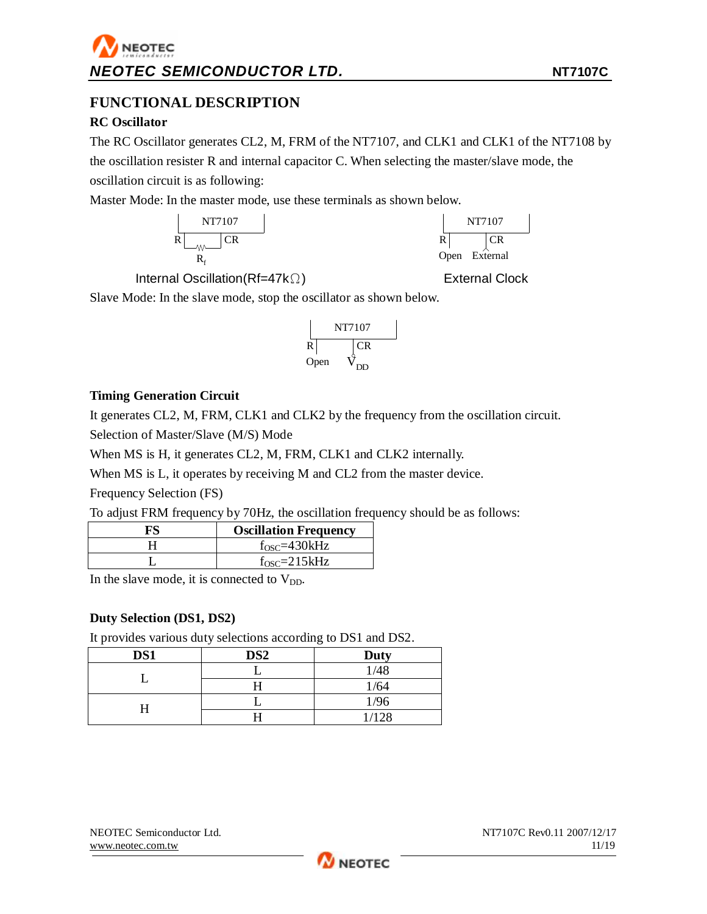### **FUNCTIONAL DESCRIPTION**

### **RC Oscillator**

The RC Oscillator generates CL2, M, FRM of the NT7107, and CLK1 and CLK1 of the NT7108 by the oscillation resister R and internal capacitor C. When selecting the master/slave mode, the oscillation circuit is as following:

Master Mode: In the master mode, use these terminals as shown below.





Internal Oscillation(Rf=47kΩ) External Clock

Slave Mode: In the slave mode, stop the oscillator as shown below.



**W** NEOTEC

### **Timing Generation Circuit**

It generates CL2, M, FRM, CLK1 and CLK2 by the frequency from the oscillation circuit.

Selection of Master/Slave (M/S) Mode

When MS is H, it generates CL2, M, FRM, CLK1 and CLK2 internally.

When MS is L, it operates by receiving M and CL2 from the master device.

Frequency Selection (FS)

To adjust FRM frequency by 70Hz, the oscillation frequency should be as follows:

| <b>Oscillation Frequency</b> |
|------------------------------|
| $f_{OSC} = 430kHz$           |
| $fOSC=215kHz$                |

In the slave mode, it is connected to  $V_{DD}$ .

### **Duty Selection (DS1, DS2)**

It provides various duty selections according to DS1 and DS2.

| DS1 | DS <sub>2</sub> | ຼ<br><b>Duty</b> |
|-----|-----------------|------------------|
|     |                 | 1/48             |
|     |                 | 1/64             |
|     |                 | 1/96             |
|     |                 | 1/128            |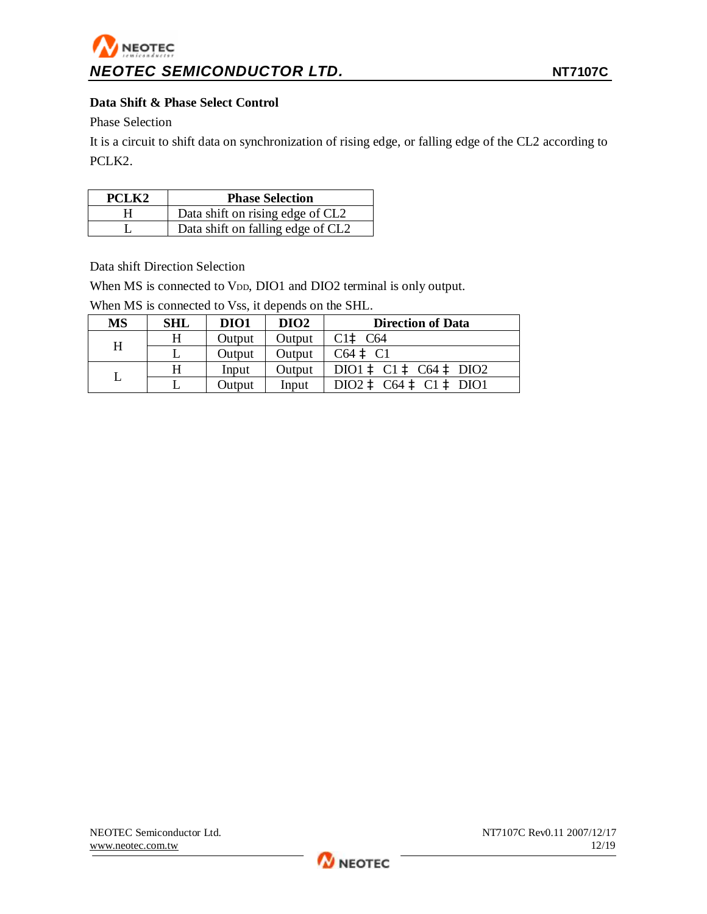### **Data Shift & Phase Select Control**

Phase Selection

It is a circuit to shift data on synchronization of rising edge, or falling edge of the CL2 according to PCLK2.

| PCLK <sub>2</sub> | <b>Phase Selection</b>            |
|-------------------|-----------------------------------|
|                   | Data shift on rising edge of CL2  |
|                   | Data shift on falling edge of CL2 |

Data shift Direction Selection

When MS is connected to VDD, DIO1 and DIO2 terminal is only output.

When MS is connected to Vss, it depends on the SHL.

| <b>MS</b> | <b>SHL</b> | DIO1   | DIO <sub>2</sub> | <b>Direction of Data</b> |
|-----------|------------|--------|------------------|--------------------------|
| H         | H          | Output | Output           | C1aC64                   |
|           |            | Output | Output           | $C64$ à $C1$             |
|           | H          | Input  | Output           | DIO1 à C1 à C64 à DIO2   |
|           |            | Output | Input            | DIO2 à C64 à C1 à DIO1   |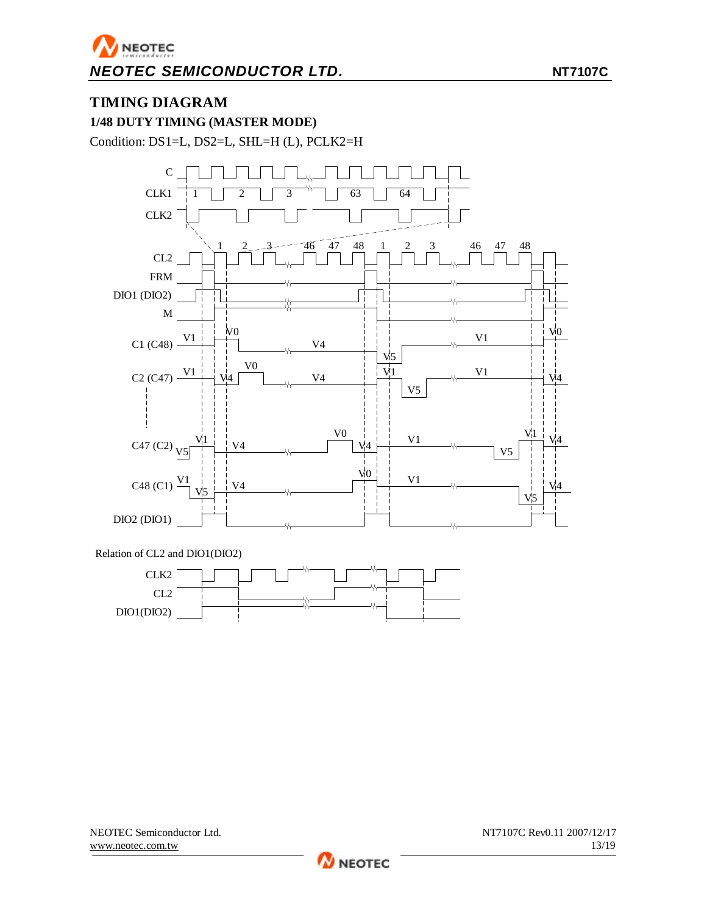### **TIMING DIAGRAM**

**1/48 DUTY TIMING (MASTER MODE)** 

Condition: DS1=L, DS2=L, SHL=H (L), PCLK2=H



Relation of CL2 and DIO1(DIO2)



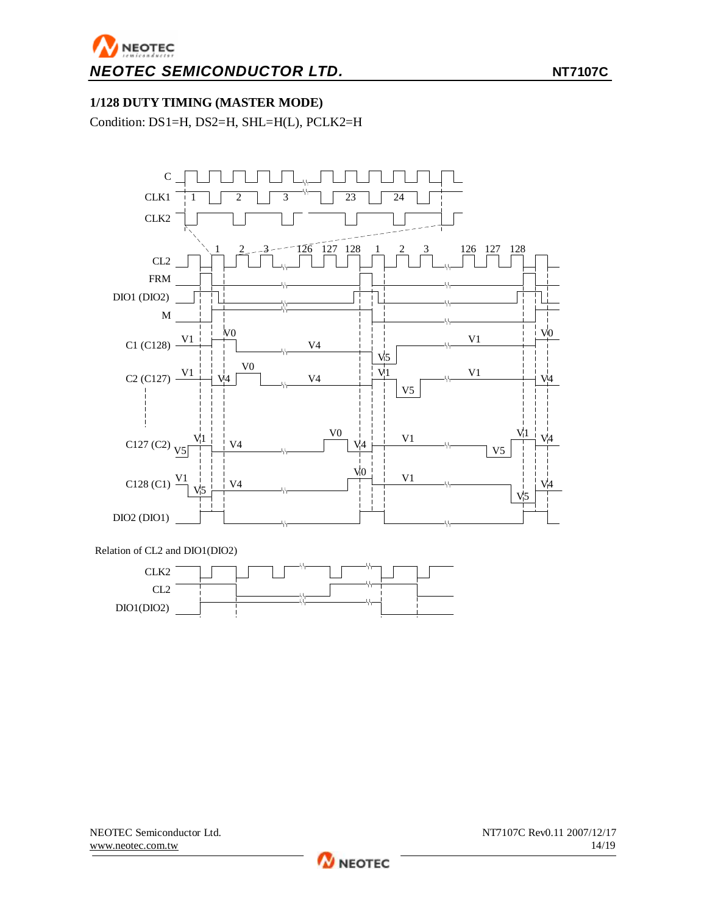### **1/128 DUTY TIMING (MASTER MODE)**

Condition: DS1=H, DS2=H, SHL=H(L), PCLK2=H





NEOTEC Semiconductor Ltd.  $NT7107C$  Rev0.11 2007/12/17 [www.neotec.com.tw](http://www.neotec.com.tw) 14/19

**M** NEOTEC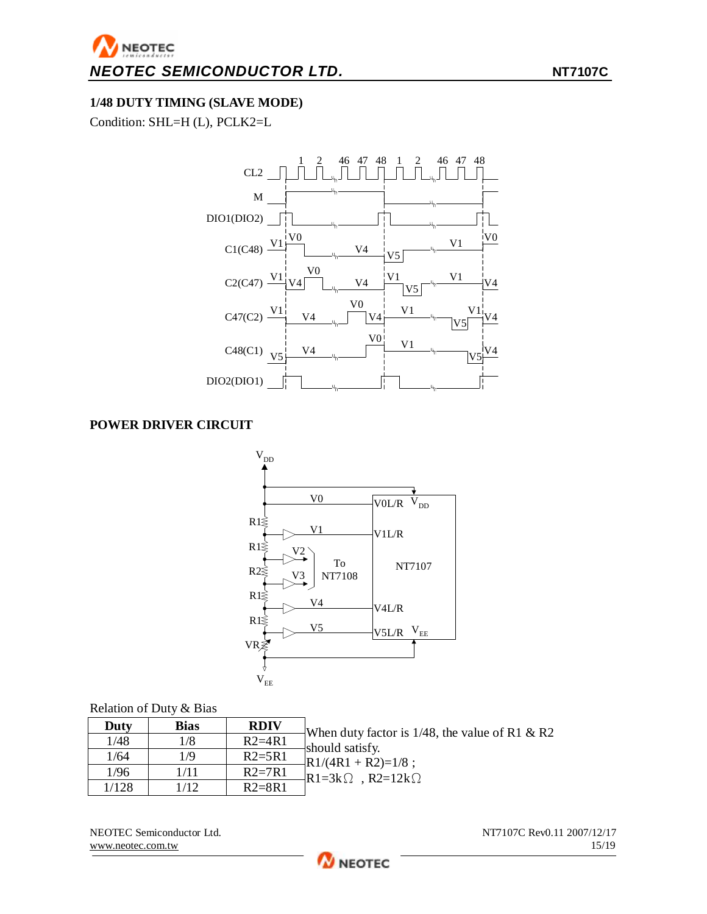### **1/48 DUTY TIMING (SLAVE MODE)**

Condition: SHL=H (L), PCLK2=L



### **POWER DRIVER CIRCUIT**



### Relation of Duty & Bias

| Duty  | <b>Bias</b> | <b>RDIV</b> | When duty factor is $1/48$ , the value of R1 & R2 |
|-------|-------------|-------------|---------------------------------------------------|
| 1/48  | 1/8         | $R2=4R1$    | should satisfy.                                   |
| 1/64  | 1/9         | $R2=5R1$    | $-R1/(4R1 + R2)=1/8$ ;                            |
| 1/96  | 1/11        | $R2=7R1$    | $-R1=3k\Omega$ , $R2=12k\Omega$                   |
| 1/128 | 1/12        | $R2 = 8R1$  |                                                   |

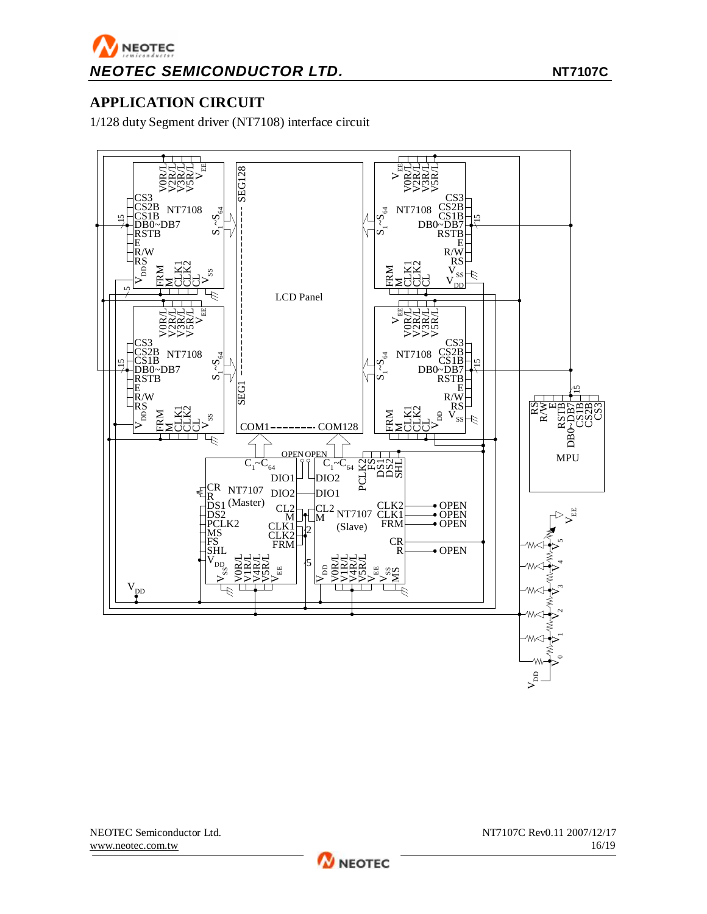### **APPLICATION CIRCUIT**

1/128 duty Segment driver (NT7108) interface circuit



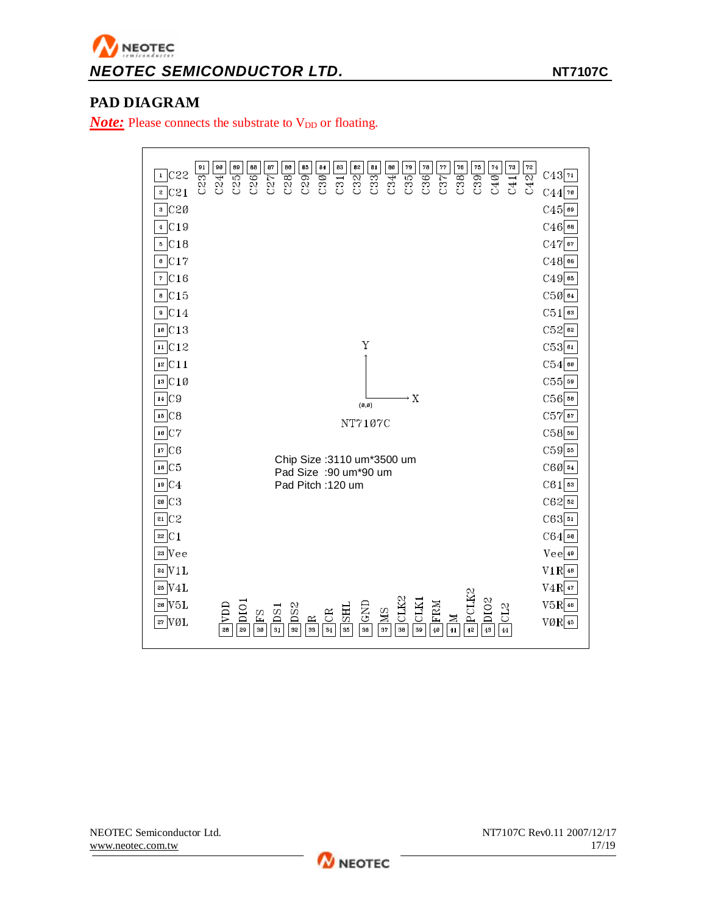# NEOTEC *NEOTEC SEMICONDUCTOR LTD.* **NT7107C**

### **PAD DIAGRAM**

*Note:* Please connects the substrate to V<sub>DD</sub> or floating.

| 91<br>$1$ C <sub>22</sub><br>C23 | 90<br>89<br>88<br>87<br>86<br>85<br>84<br>83<br>82<br>81<br>80<br>79<br>78<br>77<br>76<br>75<br>74<br>73<br>72<br>C28<br>C42<br>C37<br>C29<br>C36<br>C38<br>C39<br>C40<br>C26<br>C27<br>C30<br>C32<br>C33<br>C35<br>C41<br>C25<br>C24<br>C34                                                                    | C43 n               |
|----------------------------------|-----------------------------------------------------------------------------------------------------------------------------------------------------------------------------------------------------------------------------------------------------------------------------------------------------------------|---------------------|
| $\sqrt{21}$                      | $\overline{c31}$                                                                                                                                                                                                                                                                                                | $C44$ 70            |
| $s$ C <sub>20</sub>              |                                                                                                                                                                                                                                                                                                                 | $C45$ 69            |
| $4$ C19                          |                                                                                                                                                                                                                                                                                                                 | $C46$ 68            |
| 5 C18                            |                                                                                                                                                                                                                                                                                                                 | $C47$ 67            |
| C17<br>6                         |                                                                                                                                                                                                                                                                                                                 | $C48$ <sup>66</sup> |
| $\overline{7}$ C <sub>16</sub>   |                                                                                                                                                                                                                                                                                                                 | $C49$ 65            |
| $\overline{c}$ C15               |                                                                                                                                                                                                                                                                                                                 | $C50$ <sup>64</sup> |
| $\circ$ C14                      |                                                                                                                                                                                                                                                                                                                 | $C51$ <sup>63</sup> |
| $10$ C 13                        |                                                                                                                                                                                                                                                                                                                 | $C52$ <sub>62</sub> |
| $\overline{\text{H}}$ C12        | Y                                                                                                                                                                                                                                                                                                               | $C53$ <sup>61</sup> |
| 12 C11                           |                                                                                                                                                                                                                                                                                                                 | $C54$ 60            |
| $13$ C 1 Ø                       |                                                                                                                                                                                                                                                                                                                 | $C55$ 59            |
| 14 C9                            | $\rightarrow X$<br>(0, 0)                                                                                                                                                                                                                                                                                       | $C56$ 58            |
| 15 C8                            | NT7107C                                                                                                                                                                                                                                                                                                         | $C57$ 57            |
| $16$ C7                          |                                                                                                                                                                                                                                                                                                                 | $C58$ 56            |
| 17 C6                            |                                                                                                                                                                                                                                                                                                                 | $C59$ <sup>55</sup> |
| $18$ C <sub>5</sub>              | Chip Size : 3110 um*3500 um<br>Pad Size :90 um*90 um                                                                                                                                                                                                                                                            | $C60$ 54            |
| 19 C4                            | Pad Pitch: 120 um                                                                                                                                                                                                                                                                                               | $C61$ 53            |
| C <sub>3</sub><br>20             |                                                                                                                                                                                                                                                                                                                 | $C62$ 52            |
| $21$ $C2$                        |                                                                                                                                                                                                                                                                                                                 | $C63$ 51            |
| C1                               |                                                                                                                                                                                                                                                                                                                 | $C64$ 50            |
| $23$ Vee                         |                                                                                                                                                                                                                                                                                                                 | $Vee _4^4$          |
| 24 V1L                           |                                                                                                                                                                                                                                                                                                                 | $V1R$ 48            |
| 25 V4L                           |                                                                                                                                                                                                                                                                                                                 | $V4R$ 47            |
| V5L<br>26                        | PCLK2<br>DIO <sub>2</sub><br>CLK2                                                                                                                                                                                                                                                                               | $V5R$ 46            |
| 27 VØL                           | $\overline{SND}$<br>CLK:<br>FRM<br>D <sub>S2</sub><br><b>UIA</b><br>CL <sub>2</sub><br>$_{\rm D10}$<br><b>THS</b><br>$\overline{DS}$<br>$\overline{\mathbf{M}}$ S<br>$\overline{\text{CR}}$<br>$\overline{54}$<br>$\mathbf{\underline{\alpha}}$<br>$\frac{1}{41}$<br>42<br>43<br>31<br>37<br>39<br>$49^{\circ}$ | $VØR$ 45            |
|                                  | 32<br>33<br>34<br>35<br>36<br>38<br>28<br>29<br>30<br>$\bf 44$                                                                                                                                                                                                                                                  |                     |

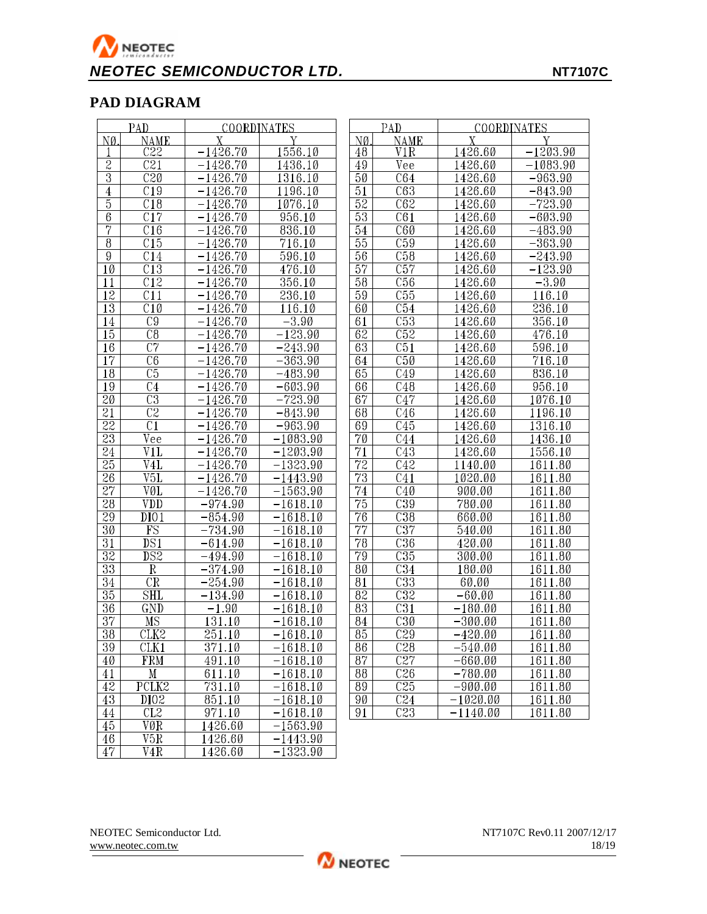# NEOTEC *NEOTEC SEMICONDUCTOR LTD.* **NT7107C**

### **PAD DIAGRAM**

|                 | PAD                    | <b>COORDINATES</b>    |            |                 | PAD                     | <b>COORDINATES</b> |                       |
|-----------------|------------------------|-----------------------|------------|-----------------|-------------------------|--------------------|-----------------------|
| NØ              | <b>NAME</b>            |                       |            | NØ.             | <b>NAME</b>             |                    |                       |
|                 | C22                    | $-1426.70$            | 1556.10    | 48              | V1R                     | 1426.60            | $-1203.\overline{90}$ |
| $\overline{2}$  | $\overline{C21}$       | $-1426.70$            | 1436.10    | 49              | Vee                     | 1426.60            | $-1083.90$            |
| $\overline{3}$  | $\overline{C20}$       | $-1426.70$            | 1316.10    | 50              | C64                     | 1426.60            | $-963.90$             |
| $\overline{4}$  | C19                    | $-1426.70$            | 1196.10    | 51              | $\overline{C63}$        | 1426.60            | $-843.90$             |
| $\overline{5}$  | $\overline{C18}$       | $-1426.70$            | 1076.10    | $\overline{52}$ | $\overline{C62}$        | 1426.60            | $-723.90$             |
| $6\phantom{.0}$ | $\overline{C17}$       | $-1426.70$            | 956.10     | 53              | $\overline{C61}$        | 1426.60            | $-603.90$             |
| 7               | C16                    | $-1426.70$            | 836.10     | 54              | $\overline{C60}$        | 1426.60            | $-483.90$             |
| $\overline{8}$  | C15                    | $-1426.70$            | 716.10     | $\overline{55}$ | $\overline{C59}$        | 1426.60            | $-363.90$             |
| $\overline{9}$  | C14                    | $-1426.70$            | 596.10     | $\overline{56}$ | $\overline{C58}$        | 1426.60            | $-243.90$             |
| 10              | $\overline{C13}$       | $-1426.70$            | 476.10     | $\overline{57}$ | $\overline{C57}$        | 1426.60            | $-123.90$             |
| 11              | $\overline{C12}$       | $-1426.70$            | 356.10     | $\overline{58}$ | $\overline{C56}$        | 1426.60            | $-3.90$               |
| $\overline{12}$ | $\overline{C11}$       | $-\overline{1426.70}$ | 236.10     | $\overline{59}$ | $\overline{C55}$        | 1426.60            | 116.10                |
| $\overline{13}$ | $\overline{C10}$       | $-1426.70$            | 116.10     | 60              | $\overline{C54}$        | 1426.60            | 236.10                |
| 14              | $\overline{C9}$        | $-1426.70$            | $-3.90$    | 61              | $\overline{C53}$        | 1426.60            | 356.10                |
| 15              | $\overline{C8}$        | $-1426.70$            | $-123.90$  | $\overline{62}$ | $\overline{C52}$        | 1426.60            | $\overline{476}.10$   |
| 16              | $\overline{C7}$        | $-1426.70$            | $-243.90$  | 63              | $\overline{C51}$        | 1426.60            | 596.10                |
| $\overline{17}$ | $\overline{C6}$        | $-1426.70$            | $-363.90$  | 64              | $\overline{\text{C50}}$ | 1426.60            | 716.10                |
| 18              | C <sub>5</sub>         | $-1426.70$            | $-483.90$  | 65              | C49                     | 1426.60            | 836.10                |
| $\overline{19}$ | $\overline{C4}$        | $-1426.70$            | $-603.90$  | 66              | $\overline{C48}$        | 1426.60            | 956.10                |
| $\overline{20}$ | $\overline{\text{C3}}$ | $-1426.70$            | $-723.90$  | $\overline{67}$ | $\overline{C47}$        | 1426.60            | 1076.10               |
| $\overline{21}$ | $\overline{\text{C2}}$ | $-1426.70$            | $-843.90$  | 68              | $\overline{C46}$        | 1426.60            | 1196.10               |
| $\overline{22}$ | $\overline{C1}$        | $-1426.70$            | $-963.90$  | 69              | $\overline{C45}$        | 1426.60            | 1316.10               |
| $\overline{23}$ | Vee                    | $-1426.70$            | $-1083.90$ | $\overline{70}$ | $\overline{C44}$        | 1426.60            | 1436.10               |
| $\overline{24}$ | V1L                    | $-1426.70$            | $-1203.90$ | $\overline{71}$ | $\overline{C43}$        | 1426.60            | 1556.10               |
| $\overline{25}$ | V4L                    | $-1426.70$            | $-1323.90$ | $\overline{72}$ | C42                     | 1140.00            | 1611.80               |
| 26              | V5L                    | $-1426.70$            | $-1443.90$ | $\overline{73}$ | C41                     | 1020.00            | 1611.80               |
| $\overline{27}$ | VØL                    | $-1426.70$            | $-1563.90$ | 74              | $\overline{C40}$        | 900.00             | 1611.80               |
| $\overline{28}$ | <b>VDD</b>             | $-974.90$             | $-1618.10$ | $\overline{75}$ | $\overline{C39}$        | 780.00             | 1611.80               |
| 29              | DIO1                   | $-854.90$             | $-1618.10$ | $\overline{76}$ | $\overline{\text{C38}}$ | 660.00             | 1611.80               |
| $\overline{30}$ | $\overline{\text{FS}}$ | $-734.90$             | $-1618.10$ | $\overline{77}$ | $\overline{C37}$        | 540.00             | 1611.80               |
| $\overline{31}$ | DS1                    | $-614.90$             | $-1618.10$ | $\overline{78}$ | $\overline{\text{C36}}$ | 420.00             | 1611.80               |
| $\overline{32}$ | $\overline{DS2}$       | $-494.90$             | $-1618.10$ | $\overline{79}$ | $\overline{C35}$        | 300.00             | 1611.80               |
| $\overline{33}$ | $\mathbf R$            | $-374.90$             | $-1618.10$ | 80              | $\overline{C34}$        | 180.00             | 1611.80               |
| $\overline{34}$ | $\overline{\text{CR}}$ | $-254.90$             | $-1618.10$ | 81              | $\overline{\text{C33}}$ | 60.00              | 1611.80               |
| $\overline{35}$ | <b>SHL</b>             | $-134.90$             | $-1618.10$ | $\overline{82}$ | $\overline{\text{C32}}$ | $-60.00$           | 1611.80               |
| $\overline{36}$ | GND                    | $-1.90$               | $-1618.10$ | $\overline{83}$ | $\overline{\text{C31}}$ | $-180.00$          | 1611.80               |
| $\overline{37}$ | MS                     | 131.10                | $-1618.10$ | 84              | $\overline{C30}$        | $-300.00$          | 1611.80               |
| $\overline{38}$ | CLK2                   | 251.10                | $-1618.10$ | $\overline{85}$ | $\overline{C29}$        | $-420.00$          | 1611.80               |
| 39              | CLK1                   | 371.10                | $-1618.10$ | 86              | $\overline{C28}$        | $-540.00$          | 1611.80               |
| 40 <sup>°</sup> | <b>FRM</b>             | 491.10                | $-1618.10$ | 87              | $\overline{C}$          | $-660.00$          | 1611.80               |
| 41              | $\mathbf M$            | 611.10                | $-1618.10$ | 88              | $\overline{C26}$        | $-780.00$          | 1611.80               |
| 42              | PCLK2                  | 731.10                | $-1618.10$ | 89              | $\overline{C}25$        | $-900.00$          | 1611.80               |
| 43              | D <sub>102</sub>       | 851.10                | $-1618.10$ | 90              | C24                     | $-1020.00$         | 1611.80               |
| 44              | CL2                    | 971.10                | $-1618.10$ | 91              | C23                     | $-1140.00$         | 1611.80               |
| 45              | VØR                    | 1426.60               | $-1563.90$ |                 |                         |                    |                       |
| 46              | V5R                    | 1426.60               | $-1443.90$ |                 |                         |                    |                       |
| $\overline{47}$ | V <sub>4</sub> R       | 1426.60               | $-1323.90$ |                 |                         |                    |                       |